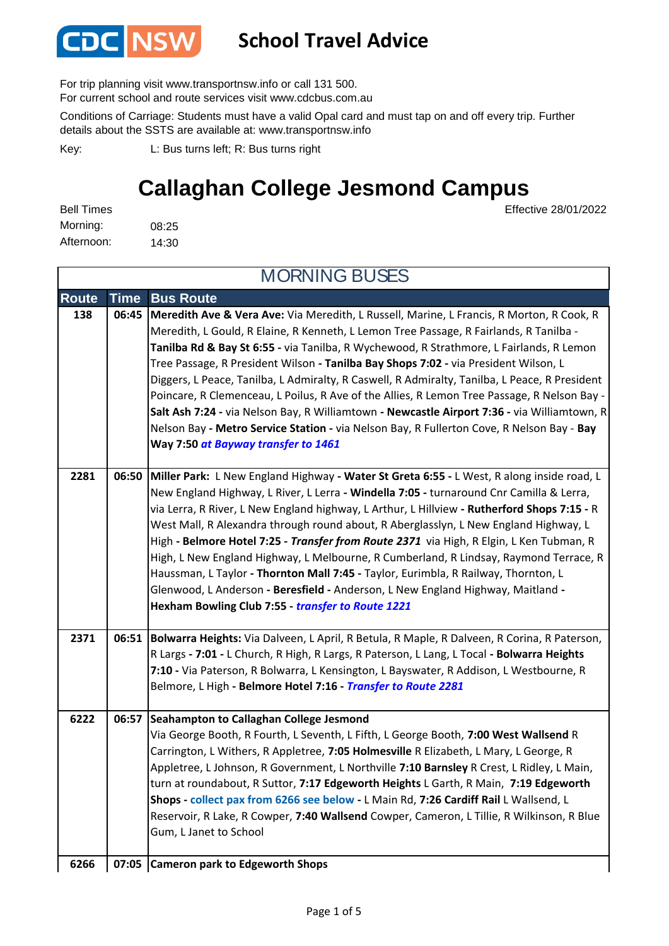

## **School Travel Advice**

For trip planning visit www.transportnsw.info or call 131 500.

For current school and route services visit www.cdcbus.com.au

Conditions of Carriage: Students must have a valid Opal card and must tap on and off every trip. Further details about the SSTS are available at: www.transportnsw.info

L: Bus turns left; R: Bus turns right Key:

## **Callaghan College Jesmond Campus**

| <b>Bell Times</b> |       |
|-------------------|-------|
| Morning:          | 08:25 |
| Afternoon:        | 14:30 |

Effective 28/01/2022

| <b>MORNING BUSES</b> |             |                                                                                                                                                                                                                                                                                                                                                                                                                                                                                                                                                                                                                                                                                                                                                                                                         |  |  |
|----------------------|-------------|---------------------------------------------------------------------------------------------------------------------------------------------------------------------------------------------------------------------------------------------------------------------------------------------------------------------------------------------------------------------------------------------------------------------------------------------------------------------------------------------------------------------------------------------------------------------------------------------------------------------------------------------------------------------------------------------------------------------------------------------------------------------------------------------------------|--|--|
| <b>Route</b>         | <b>Time</b> | <b>Bus Route</b>                                                                                                                                                                                                                                                                                                                                                                                                                                                                                                                                                                                                                                                                                                                                                                                        |  |  |
| 138                  | 06:45       | Meredith Ave & Vera Ave: Via Meredith, L Russell, Marine, L Francis, R Morton, R Cook, R<br>Meredith, L Gould, R Elaine, R Kenneth, L Lemon Tree Passage, R Fairlands, R Tanilba -<br>Tanilba Rd & Bay St 6:55 - via Tanilba, R Wychewood, R Strathmore, L Fairlands, R Lemon<br>Tree Passage, R President Wilson - Tanilba Bay Shops 7:02 - via President Wilson, L<br>Diggers, L Peace, Tanilba, L Admiralty, R Caswell, R Admiralty, Tanilba, L Peace, R President<br>Poincare, R Clemenceau, L Poilus, R Ave of the Allies, R Lemon Tree Passage, R Nelson Bay -<br>Salt Ash 7:24 - via Nelson Bay, R Williamtown - Newcastle Airport 7:36 - via Williamtown, R<br>Nelson Bay - Metro Service Station - via Nelson Bay, R Fullerton Cove, R Nelson Bay - Bay<br>Way 7:50 at Bayway transfer to 1461 |  |  |
| 2281                 | 06:50       | Miller Park: L New England Highway - Water St Greta 6:55 - L West, R along inside road, L<br>New England Highway, L River, L Lerra - Windella 7:05 - turnaround Cnr Camilla & Lerra,<br>via Lerra, R River, L New England highway, L Arthur, L Hillview - Rutherford Shops 7:15 - R<br>West Mall, R Alexandra through round about, R Aberglasslyn, L New England Highway, L<br>High - Belmore Hotel 7:25 - Transfer from Route 2371 via High, R Elgin, L Ken Tubman, R<br>High, L New England Highway, L Melbourne, R Cumberland, R Lindsay, Raymond Terrace, R<br>Haussman, L Taylor - Thornton Mall 7:45 - Taylor, Eurimbla, R Railway, Thornton, L<br>Glenwood, L Anderson - Beresfield - Anderson, L New England Highway, Maitland -<br>Hexham Bowling Club 7:55 - transfer to Route 1221           |  |  |
| 2371                 | 06:51       | Bolwarra Heights: Via Dalveen, L April, R Betula, R Maple, R Dalveen, R Corina, R Paterson,<br>R Largs - 7:01 - L Church, R High, R Largs, R Paterson, L Lang, L Tocal - Bolwarra Heights<br>7:10 - Via Paterson, R Bolwarra, L Kensington, L Bayswater, R Addison, L Westbourne, R<br>Belmore, L High - Belmore Hotel 7:16 - Transfer to Route 2281                                                                                                                                                                                                                                                                                                                                                                                                                                                    |  |  |
| 6222                 |             | 06:57 Seahampton to Callaghan College Jesmond<br>Via George Booth, R Fourth, L Seventh, L Fifth, L George Booth, 7:00 West Wallsend R<br>Carrington, L Withers, R Appletree, 7:05 Holmesville R Elizabeth, L Mary, L George, R<br>Appletree, L Johnson, R Government, L Northville 7:10 Barnsley R Crest, L Ridley, L Main,<br>turn at roundabout, R Suttor, 7:17 Edgeworth Heights L Garth, R Main, 7:19 Edgeworth<br>Shops - collect pax from 6266 see below - L Main Rd, 7:26 Cardiff Rail L Wallsend, L<br>Reservoir, R Lake, R Cowper, 7:40 Wallsend Cowper, Cameron, L Tillie, R Wilkinson, R Blue<br>Gum, L Janet to School                                                                                                                                                                      |  |  |
| 6266                 |             | 07:05 Cameron park to Edgeworth Shops                                                                                                                                                                                                                                                                                                                                                                                                                                                                                                                                                                                                                                                                                                                                                                   |  |  |

#### **Cameron park to Edgeworth Shops 6266 07:05**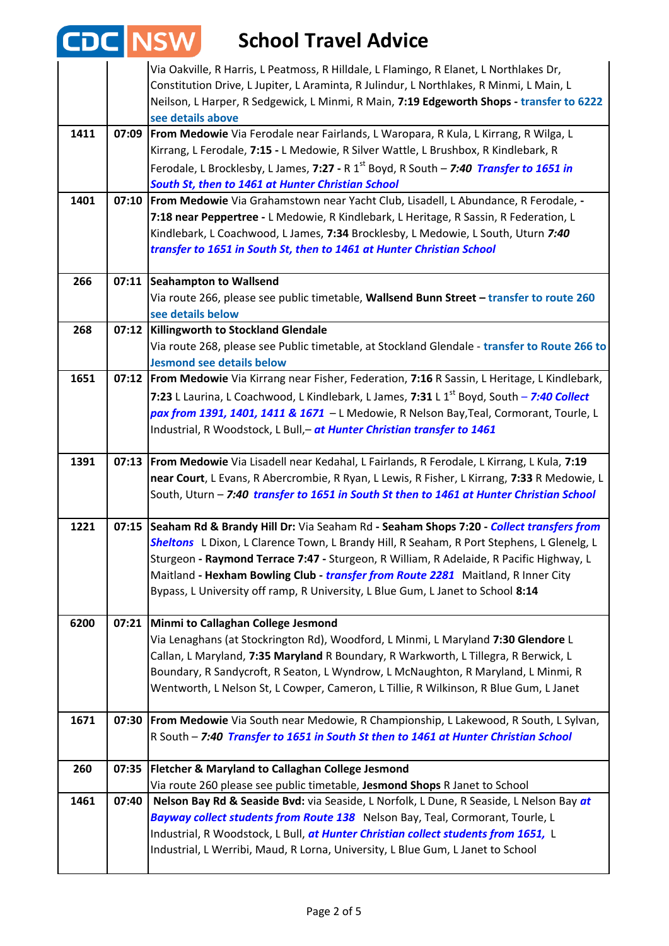# **School Travel Advice 6266 07:05**

|      |       | Via Oakville, R Harris, L Peatmoss, R Hilldale, L Flamingo, R Elanet, L Northlakes Dr,                                                                                                  |
|------|-------|-----------------------------------------------------------------------------------------------------------------------------------------------------------------------------------------|
|      |       | Constitution Drive, L Jupiter, L Araminta, R Julindur, L Northlakes, R Minmi, L Main, L                                                                                                 |
|      |       | Neilson, L Harper, R Sedgewick, L Minmi, R Main, 7:19 Edgeworth Shops - transfer to 6222<br>see details above                                                                           |
| 1411 | 07:09 | From Medowie Via Ferodale near Fairlands, L Waropara, R Kula, L Kirrang, R Wilga, L                                                                                                     |
|      |       | Kirrang, L Ferodale, 7:15 - L Medowie, R Silver Wattle, L Brushbox, R Kindlebark, R                                                                                                     |
|      |       | Ferodale, L Brocklesby, L James, 7:27 - R 1 <sup>st</sup> Boyd, R South - 7:40 Transfer to 1651 in                                                                                      |
|      |       | South St, then to 1461 at Hunter Christian School                                                                                                                                       |
| 1401 | 07:10 | From Medowie Via Grahamstown near Yacht Club, Lisadell, L Abundance, R Ferodale, -                                                                                                      |
|      |       | 7:18 near Peppertree - L Medowie, R Kindlebark, L Heritage, R Sassin, R Federation, L<br>Kindlebark, L Coachwood, L James, 7:34 Brocklesby, L Medowie, L South, Uturn 7:40              |
|      |       | transfer to 1651 in South St, then to 1461 at Hunter Christian School                                                                                                                   |
|      |       |                                                                                                                                                                                         |
| 266  | 07:11 | <b>Seahampton to Wallsend</b>                                                                                                                                                           |
|      |       | Via route 266, please see public timetable, Wallsend Bunn Street - transfer to route 260                                                                                                |
|      |       | see details below                                                                                                                                                                       |
| 268  | 07:12 | Killingworth to Stockland Glendale                                                                                                                                                      |
|      |       | Via route 268, please see Public timetable, at Stockland Glendale - transfer to Route 266 to<br><b>Jesmond see details below</b>                                                        |
| 1651 | 07:12 | From Medowie Via Kirrang near Fisher, Federation, 7:16 R Sassin, L Heritage, L Kindlebark,                                                                                              |
|      |       | 7:23 L Laurina, L Coachwood, L Kindlebark, L James, 7:31 L 1 <sup>st</sup> Boyd, South - 7:40 Collect                                                                                   |
|      |       | pax from 1391, 1401, 1411 & 1671 - L Medowie, R Nelson Bay, Teal, Cormorant, Tourle, L                                                                                                  |
|      |       | Industrial, R Woodstock, L Bull,- at Hunter Christian transfer to 1461                                                                                                                  |
|      |       |                                                                                                                                                                                         |
| 1391 |       | 07:13   From Medowie Via Lisadell near Kedahal, L Fairlands, R Ferodale, L Kirrang, L Kula, 7:19                                                                                        |
|      |       | near Court, L Evans, R Abercrombie, R Ryan, L Lewis, R Fisher, L Kirrang, 7:33 R Medowie, L<br>South, Uturn - 7:40 transfer to 1651 in South St then to 1461 at Hunter Christian School |
|      |       |                                                                                                                                                                                         |
| 1221 | 07:15 | Seaham Rd & Brandy Hill Dr: Via Seaham Rd - Seaham Shops 7:20 - Collect transfers from                                                                                                  |
|      |       | Sheltons L Dixon, L Clarence Town, L Brandy Hill, R Seaham, R Port Stephens, L Glenelg, L                                                                                               |
|      |       | Sturgeon - Raymond Terrace 7:47 - Sturgeon, R William, R Adelaide, R Pacific Highway, L                                                                                                 |
|      |       | Maitland - Hexham Bowling Club - transfer from Route 2281 Maitland, R Inner City                                                                                                        |
|      |       | Bypass, L University off ramp, R University, L Blue Gum, L Janet to School 8:14                                                                                                         |
| 6200 | 07:21 | Minmi to Callaghan College Jesmond                                                                                                                                                      |
|      |       | Via Lenaghans (at Stockrington Rd), Woodford, L Minmi, L Maryland 7:30 Glendore L                                                                                                       |
|      |       | Callan, L Maryland, 7:35 Maryland R Boundary, R Warkworth, L Tillegra, R Berwick, L                                                                                                     |
|      |       | Boundary, R Sandycroft, R Seaton, L Wyndrow, L McNaughton, R Maryland, L Minmi, R                                                                                                       |
|      |       | Wentworth, L Nelson St, L Cowper, Cameron, L Tillie, R Wilkinson, R Blue Gum, L Janet                                                                                                   |
| 1671 | 07:30 | From Medowie Via South near Medowie, R Championship, L Lakewood, R South, L Sylvan,                                                                                                     |
|      |       | R South - 7:40 Transfer to 1651 in South St then to 1461 at Hunter Christian School                                                                                                     |
|      |       |                                                                                                                                                                                         |
| 260  | 07:35 | Fletcher & Maryland to Callaghan College Jesmond                                                                                                                                        |
|      |       | Via route 260 please see public timetable, Jesmond Shops R Janet to School                                                                                                              |
| 1461 | 07:40 | Nelson Bay Rd & Seaside Bvd: via Seaside, L Norfolk, L Dune, R Seaside, L Nelson Bay at                                                                                                 |
|      |       | Bayway collect students from Route 138 Nelson Bay, Teal, Cormorant, Tourle, L<br>Industrial, R Woodstock, L Bull, at Hunter Christian collect students from 1651, L                     |
|      |       | Industrial, L Werribi, Maud, R Lorna, University, L Blue Gum, L Janet to School                                                                                                         |
|      |       |                                                                                                                                                                                         |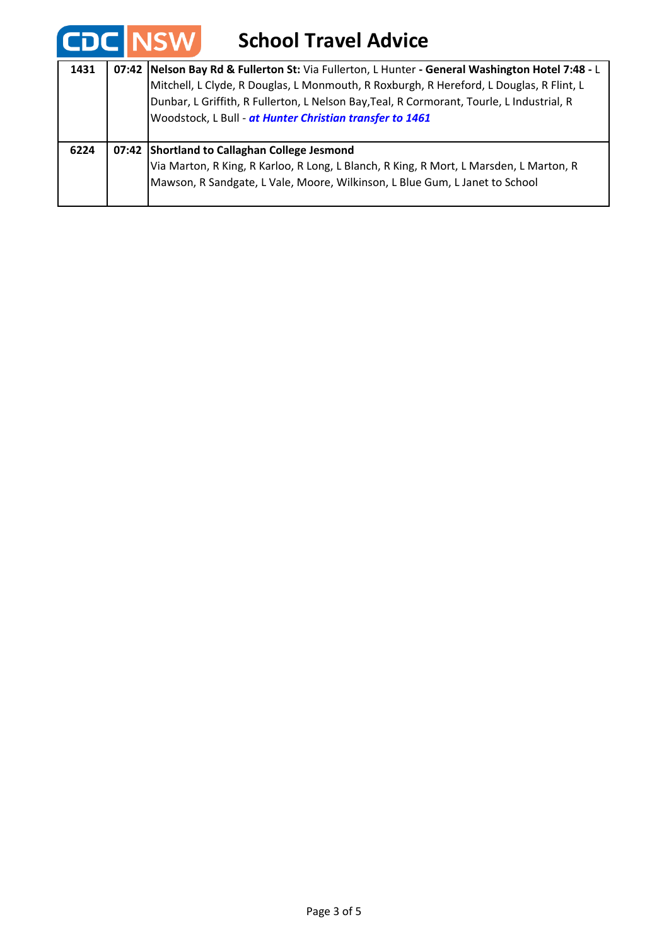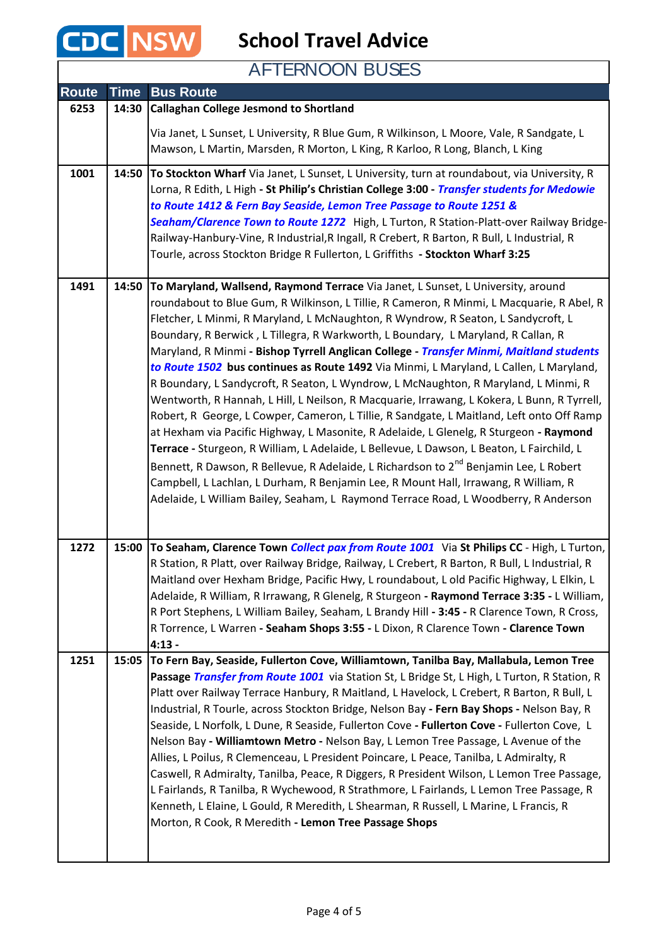

**School Travel Advice**

AFTERNOON BUSES

| <b>Route</b> | Time  | <b>Bus Route</b>                                                                                                                                                                            |
|--------------|-------|---------------------------------------------------------------------------------------------------------------------------------------------------------------------------------------------|
| 6253         | 14:30 | <b>Callaghan College Jesmond to Shortland</b>                                                                                                                                               |
|              |       | Via Janet, L Sunset, L University, R Blue Gum, R Wilkinson, L Moore, Vale, R Sandgate, L                                                                                                    |
|              |       | Mawson, L Martin, Marsden, R Morton, L King, R Karloo, R Long, Blanch, L King                                                                                                               |
| 1001         | 14:50 | To Stockton Wharf Via Janet, L Sunset, L University, turn at roundabout, via University, R                                                                                                  |
|              |       | Lorna, R Edith, L High - St Philip's Christian College 3:00 - Transfer students for Medowie                                                                                                 |
|              |       | to Route 1412 & Fern Bay Seaside, Lemon Tree Passage to Route 1251 &<br>Seaham/Clarence Town to Route 1272 High, L Turton, R Station-Platt-over Railway Bridge-                             |
|              |       | Railway-Hanbury-Vine, R Industrial, R Ingall, R Crebert, R Barton, R Bull, L Industrial, R                                                                                                  |
|              |       | Tourle, across Stockton Bridge R Fullerton, L Griffiths - Stockton Wharf 3:25                                                                                                               |
| 1491         | 14:50 | To Maryland, Wallsend, Raymond Terrace Via Janet, L Sunset, L University, around                                                                                                            |
|              |       | roundabout to Blue Gum, R Wilkinson, L Tillie, R Cameron, R Minmi, L Macquarie, R Abel, R                                                                                                   |
|              |       | Fletcher, L Minmi, R Maryland, L McNaughton, R Wyndrow, R Seaton, L Sandycroft, L<br>Boundary, R Berwick, L Tillegra, R Warkworth, L Boundary, L Maryland, R Callan, R                      |
|              |       | Maryland, R Minmi - Bishop Tyrrell Anglican College - Transfer Minmi, Maitland students                                                                                                     |
|              |       | to Route 1502 bus continues as Route 1492 Via Minmi, L Maryland, L Callen, L Maryland,                                                                                                      |
|              |       | R Boundary, L Sandycroft, R Seaton, L Wyndrow, L McNaughton, R Maryland, L Minmi, R                                                                                                         |
|              |       | Wentworth, R Hannah, L Hill, L Neilson, R Macquarie, Irrawang, L Kokera, L Bunn, R Tyrrell,<br>Robert, R George, L Cowper, Cameron, L Tillie, R Sandgate, L Maitland, Left onto Off Ramp    |
|              |       | at Hexham via Pacific Highway, L Masonite, R Adelaide, L Glenelg, R Sturgeon - Raymond                                                                                                      |
|              |       | Terrace - Sturgeon, R William, L Adelaide, L Bellevue, L Dawson, L Beaton, L Fairchild, L                                                                                                   |
|              |       | Bennett, R Dawson, R Bellevue, R Adelaide, L Richardson to 2 <sup>nd</sup> Benjamin Lee, L Robert                                                                                           |
|              |       | Campbell, L Lachlan, L Durham, R Benjamin Lee, R Mount Hall, Irrawang, R William, R                                                                                                         |
|              |       | Adelaide, L William Bailey, Seaham, L Raymond Terrace Road, L Woodberry, R Anderson                                                                                                         |
|              |       |                                                                                                                                                                                             |
| 1272         | 15:00 | To Seaham, Clarence Town Collect pax from Route 1001 Via St Philips CC - High, L Turton,                                                                                                    |
|              |       | R Station, R Platt, over Railway Bridge, Railway, L Crebert, R Barton, R Bull, L Industrial, R<br>Maitland over Hexham Bridge, Pacific Hwy, L roundabout, L old Pacific Highway, L Elkin, L |
|              |       | Adelaide, R William, R Irrawang, R Glenelg, R Sturgeon - Raymond Terrace 3:35 - L William,                                                                                                  |
|              |       | R Port Stephens, L William Bailey, Seaham, L Brandy Hill - 3:45 - R Clarence Town, R Cross,                                                                                                 |
|              |       | R Torrence, L Warren - Seaham Shops 3:55 - L Dixon, R Clarence Town - Clarence Town                                                                                                         |
| 1251         | 15:05 | $4:13 -$<br>To Fern Bay, Seaside, Fullerton Cove, Williamtown, Tanilba Bay, Mallabula, Lemon Tree                                                                                           |
|              |       | Passage Transfer from Route 1001 via Station St, L Bridge St, L High, L Turton, R Station, R                                                                                                |
|              |       | Platt over Railway Terrace Hanbury, R Maitland, L Havelock, L Crebert, R Barton, R Bull, L                                                                                                  |
|              |       | Industrial, R Tourle, across Stockton Bridge, Nelson Bay - Fern Bay Shops - Nelson Bay, R                                                                                                   |
|              |       | Seaside, L Norfolk, L Dune, R Seaside, Fullerton Cove - Fullerton Cove - Fullerton Cove, L<br>Nelson Bay - Williamtown Metro - Nelson Bay, L Lemon Tree Passage, L Avenue of the            |
|              |       | Allies, L Poilus, R Clemenceau, L President Poincare, L Peace, Tanilba, L Admiralty, R                                                                                                      |
|              |       | Caswell, R Admiralty, Tanilba, Peace, R Diggers, R President Wilson, L Lemon Tree Passage,                                                                                                  |
|              |       | L Fairlands, R Tanilba, R Wychewood, R Strathmore, L Fairlands, L Lemon Tree Passage, R                                                                                                     |
|              |       | Kenneth, L Elaine, L Gould, R Meredith, L Shearman, R Russell, L Marine, L Francis, R<br>Morton, R Cook, R Meredith - Lemon Tree Passage Shops                                              |
|              |       |                                                                                                                                                                                             |
|              |       |                                                                                                                                                                                             |